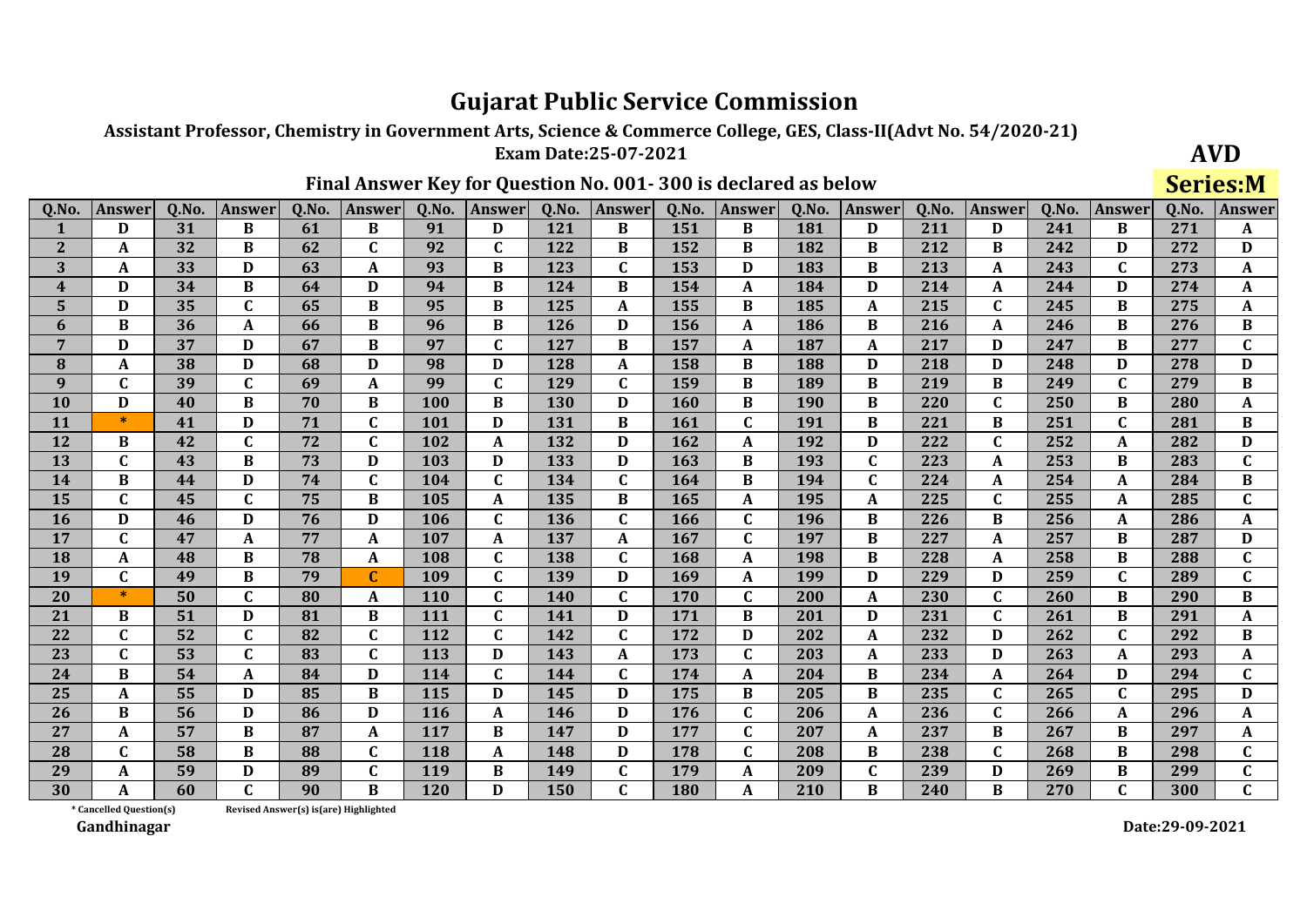Assistant Professor, Chemistry in Government Arts, Science & Commerce College, GES, Class-II(Advt No. 54/2020-21)

**Exam Date:25-07-2021** 

## Final Answer Key for Question No. 001-300 is declared as below

**AVD Series:M** 

| Q.No.                   | <b>Answer</b> | Q.No. | Answer       | Q.No. | <b>Answer</b> | Q.No.      | Answer       | Q.No.      | <b>Answer</b> | Q.No. | <b>Answer</b> | Q.No.      | <b>Answer</b> | Q.No. | <b>Answer</b> | Q.No. | Answer       | Q.No. | <b>Answer</b>             |
|-------------------------|---------------|-------|--------------|-------|---------------|------------|--------------|------------|---------------|-------|---------------|------------|---------------|-------|---------------|-------|--------------|-------|---------------------------|
|                         | D             | 31    | B            | 61    | B             | 91         | D            | 121        | B             | 151   | B             | 181        | D             | 211   | D             | 241   | B            | 271   | A                         |
| $\mathbf{2}$            | A             | 32    | B            | 62    | $\mathbf{C}$  | 92         | $\mathbf C$  | 122        | B             | 152   | В             | 182        | B             | 212   | B             | 242   | D            | 272   | D                         |
| 3                       | A             | 33    | D            | 63    | A             | 93         | B            | 123        | $\mathbf{C}$  | 153   | D             | 183        | B             | 213   | A             | 243   | C            | 273   | A                         |
| $\overline{\mathbf{4}}$ | D             | 34    | $\bf{B}$     | 64    | D             | 94         | $\bf{B}$     | 124        | B             | 154   | A             | 184        | D             | 214   | A             | 244   | D            | 274   | A                         |
| 5                       | D             | 35    | $\mathbf C$  | 65    | B             | 95         | B            | 125        | A             | 155   | B             | 185        | A             | 215   | $\mathbf{C}$  | 245   | B            | 275   | A                         |
| 6                       | $\bf{B}$      | 36    | A            | 66    | $\bf{B}$      | 96         | $\bf{B}$     | 126        | D             | 156   | A             | 186        | $\bf{B}$      | 216   | A             | 246   | $\bf{B}$     | 276   | B                         |
| 7                       | D             | 37    | D            | 67    | B             | 97         | $\mathbf C$  | 127        | B             | 157   | A             | 187        | A             | 217   | D             | 247   | B            | 277   | $\mathbf{C}$              |
| 8                       | A             | 38    | D            | 68    | D             | 98         | D            | 128        | A             | 158   | B             | 188        | D             | 218   | D             | 248   | D            | 278   | D                         |
| 9                       | $\mathbf{C}$  | 39    | $\mathbf C$  | 69    | A             | 99         | $\mathbf C$  | 129        | $\mathbf C$   | 159   | B             | 189        | B             | 219   | B             | 249   | $\mathbf C$  | 279   | B                         |
| 10                      | D             | 40    | B            | 70    | B             | 100        | B            | <b>130</b> | D             | 160   | B             | <b>190</b> | B             | 220   | $\mathbf C$   | 250   | B            | 280   | A                         |
| 11                      | $\ast$        | 41    | D            | 71    | $\mathbf{C}$  | 101        | D            | 131        | B             | 161   | $\mathbf C$   | 191        | B             | 221   | $\bf{B}$      | 251   | $\mathbf{C}$ | 281   | $\bf{B}$                  |
| 12                      | B             | 42    | $\mathbf{C}$ | 72    | $\mathbf{C}$  | 102        | $\mathbf{A}$ | 132        | D             | 162   | A             | 192        | D             | 222   | $\mathbf C$   | 252   | A            | 282   | D                         |
| 13                      | $\mathbf{C}$  | 43    | $\bf{B}$     | 73    | D             | 103        | D            | 133        | D             | 163   | B             | 193        | $\mathbf{C}$  | 223   | A             | 253   | B            | 283   | $\mathbf C$               |
| 14                      | B             | 44    | D            | 74    | $\mathbf{C}$  | 104        | $\mathbf C$  | 134        | $\mathbf C$   | 164   | B             | 194        | C             | 224   | A             | 254   | A            | 284   | $\bf{B}$                  |
| 15                      | $\mathbf{C}$  | 45    | C            | 75    | B             | <b>105</b> | A            | 135        | B             | 165   | A             | 195        | A             | 225   | $\mathbf C$   | 255   | A            | 285   | C                         |
| 16                      | D             | 46    | D            | 76    | D             | 106        | $\mathbf C$  | 136        | $\mathbf C$   | 166   | $\mathbf C$   | 196        | B             | 226   | B             | 256   | A            | 286   | A                         |
| 17                      | C             | 47    | A            | 77    | A             | 107        | A            | 137        | A             | 167   | $\mathbf C$   | 197        | B             | 227   | A             | 257   | B            | 287   | D                         |
| 18                      | A             | 48    | $\bf{B}$     | 78    | A             | 108        | $\mathbf C$  | 138        | $\mathbf C$   | 168   | A             | 198        | $\bf{B}$      | 228   | A             | 258   | B            | 288   | $\mathbf{C}$              |
| 19                      | $\mathbf{C}$  | 49    | B            | 79    | $\mathbf C$   | 109        | $\mathbf C$  | 139        | D             | 169   | A             | 199        | D             | 229   | D             | 259   | $\mathbf C$  | 289   | $\mathbf{C}$              |
| 20                      | $\ast$        | 50    | $\mathbf C$  | 80    | A             | 110        | $\mathbf{C}$ | 140        | $\mathbf C$   | 170   | $\mathbf C$   | 200        | A             | 230   | $\mathbf C$   | 260   | B            | 290   | $\bf{B}$                  |
| 21                      | B             | 51    | D            | 81    | B             | 111        | $\mathbf C$  | 141        | D             | 171   | B             | 201        | D             | 231   | $\mathbf C$   | 261   | B            | 291   | A                         |
| 22                      | C.            | 52    | $\mathbf{C}$ | 82    | C             | 112        | $\mathbf C$  | 142        | C             | 172   | D             | 202        | A             | 232   | D             | 262   | C            | 292   | B                         |
| 23                      | $\mathbf C$   | 53    | $\mathbf C$  | 83    | $\mathbf{C}$  | 113        | D            | 143        | A             | 173   | $\mathbf C$   | 203        | A             | 233   | D             | 263   | A            | 293   | A                         |
| 24                      | B             | 54    | A            | 84    | D             | 114        | $\mathbf C$  | 144        | $\mathbf C$   | 174   | A             | 204        | B             | 234   | A             | 264   | D            | 294   | $\mathbf C$               |
| 25                      | A             | 55    | D            | 85    | B             | 115        | D            | 145        | D             | 175   | B             | 205        | B             | 235   | $\mathbf C$   | 265   | C            | 295   | D                         |
| 26                      | B             | 56    | D            | 86    | D             | 116        | A            | 146        | D             | 176   | $\mathbf C$   | 206        | A             | 236   | $\mathbf C$   | 266   | A            | 296   | A                         |
| 27                      | A             | 57    | B            | 87    | A             | 117        | B            | 147        | D             | 177   | $\mathbf C$   | 207        | A             | 237   | $\bf{B}$      | 267   | B            | 297   | A                         |
| 28                      | C             | 58    | $\bf{B}$     | 88    | $\mathbf{C}$  | 118        | A            | 148        | D             | 178   | $\mathbf C$   | 208        | B             | 238   | $\mathbf{C}$  | 268   | B            | 298   | $\mathbf C$               |
| 29                      | A             | 59    | D            | 89    | $\mathbf C$   | 119        | $\bf{B}$     | 149        | $\mathbf C$   | 179   | A             | 209        | $\mathbf C$   | 239   | D             | 269   | B            | 299   | $\mathbf{C}$              |
| 30                      | A             | 60    | $\mathbf{C}$ | 90    | B             | 120        | D            | 150        | $\mathbf C$   | 180   | A             | 210        | B             | 240   | $\bf{B}$      | 270   | $\mathbf{C}$ | 300   | $\overline{\mathfrak{c}}$ |

Revised Answer(s) is(are) Highlighted

\* Cancelled Question(s) Gandhinagar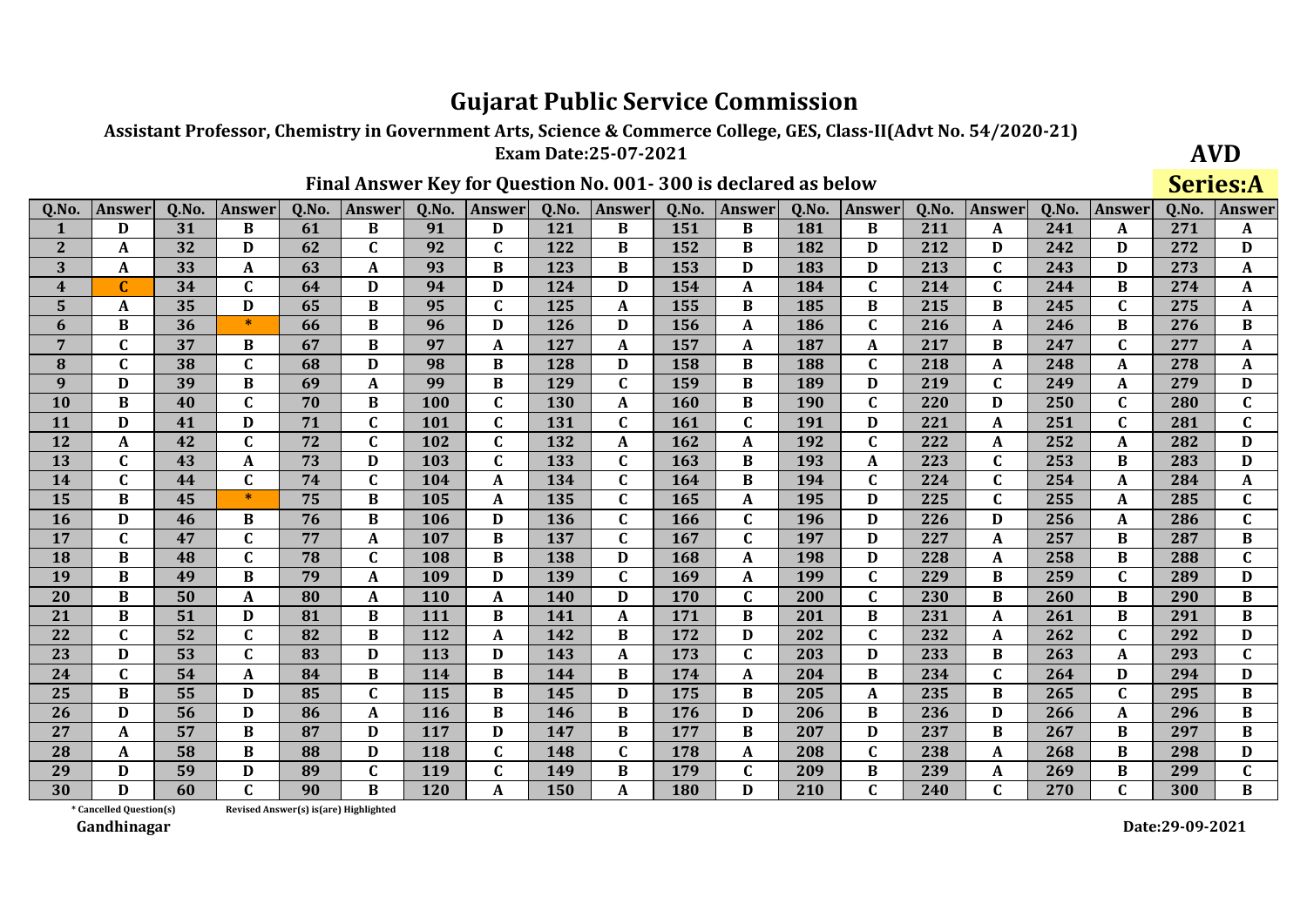Assistant Professor, Chemistry in Government Arts, Science & Commerce College, GES, Class-II(Advt No. 54/2020-21)

**Exam Date:25-07-2021** 

## Final Answer Key for Question No. 001-300 is declared as below

**AVD Series:A** 

| Q.No.        | <b>Answer</b> | Q.No. | <b>Answer</b> | Q.No. | <b>Answer</b> | Q.No.      | <b>Answer</b> | Q.No.      | Answer      | Q.No. | <b>Answer</b> | Q.No.      | <b>Answer</b> | Q.No. | <b>Answer</b> | Q.No. | <b>Answer</b> | Q.No. | Answer                    |
|--------------|---------------|-------|---------------|-------|---------------|------------|---------------|------------|-------------|-------|---------------|------------|---------------|-------|---------------|-------|---------------|-------|---------------------------|
|              | D             | 31    | B             | 61    | B             | 91         | D             | 121        | B           | 151   | B             | 181        | B             | 211   | A             | 241   | A             | 271   | A                         |
| $\mathbf{2}$ | A             | 32    | D             | 62    | $\mathbf C$   | 92         | $\mathbf C$   | 122        | B           | 152   | B             | 182        | D             | 212   | D             | 242   | D             | 272   | $\mathbf{D}$              |
| 3            | A             | 33    | A             | 63    | A             | 93         | B             | 123        | B           | 153   | D             | 183        | D             | 213   | $\mathbf{C}$  | 243   | D             | 273   | A                         |
| 4            | $\mathbf{C}$  | 34    | $\mathbf{C}$  | 64    | D             | 94         | D             | 124        | D           | 154   | A             | 184        | $\mathbf{C}$  | 214   | $\mathbf{C}$  | 244   | B             | 274   | $\mathbf{A}$              |
| 5            | A             | 35    | D             | 65    | B             | 95         | $\mathbf C$   | 125        | A           | 155   | B             | 185        | B             | 215   | B             | 245   | $\mathbf C$   | 275   | A                         |
| 6            | B             | 36    | $\ast$        | 66    | $\bf{B}$      | 96         | D             | 126        | D           | 156   | A             | 186        | $\mathbf C$   | 216   | A             | 246   | B             | 276   | $\bf{B}$                  |
| 7            | C             | 37    | B             | 67    | $\bf{B}$      | 97         | $\mathbf{A}$  | 127        | A           | 157   | A             | 187        | A             | 217   | $\bf{B}$      | 247   | $\mathbf C$   | 277   | A                         |
| 8            | C             | 38    | $\mathbf{C}$  | 68    | D             | 98         | $\bf{B}$      | 128        | D           | 158   | B             | 188        | $\mathbf{C}$  | 218   | $\mathbf{A}$  | 248   | A             | 278   | A                         |
| 9            | D             | 39    | $\bf{B}$      | 69    | A             | 99         | $\bf{B}$      | 129        | $\mathbf C$ | 159   | B             | 189        | D             | 219   | $\mathbf C$   | 249   | A             | 279   | D                         |
| 10           | B             | 40    | $\mathbf{C}$  | 70    | B             | 100        | $\mathbf C$   | 130        | A           | 160   | B             | <b>190</b> | $\mathbf{C}$  | 220   | D             | 250   | $\mathbf C$   | 280   | $\mathbf{C}$              |
| 11           | D             | 41    | D             | 71    | $\mathbf{C}$  | 101        | $\mathbf C$   | 131        | $\mathbf C$ | 161   | $\mathbf C$   | 191        | D             | 221   | A             | 251   | $\mathbf C$   | 281   | $\mathbf{C}$              |
| 12           | A             | 42    | C             | 72    | C             | 102        | $\mathbf C$   | 132        | A           | 162   | A             | 192        | C             | 222   | A             | 252   | A             | 282   | $\mathbf D$               |
| 13           | $\mathbf C$   | 43    | A             | 73    | D             | 103        | $\mathbf C$   | 133        | $\mathbf C$ | 163   | $\bf{B}$      | 193        | A             | 223   | $\mathbf C$   | 253   | B             | 283   | $\mathbf D$               |
| 14           | $\mathbf{C}$  | 44    | $\mathbf C$   | 74    | $\mathbf{C}$  | 104        | A             | 134        | $\mathbf C$ | 164   | B             | 194        | $\mathbf{C}$  | 224   | $\mathbf C$   | 254   | A             | 284   | A                         |
| 15           | B             | 45    | $*$           | 75    | B             | 105        | A             | 135        | C           | 165   | A             | 195        | D             | 225   | $\mathbf C$   | 255   | A             | 285   | $\mathbf C$               |
| 16           | D             | 46    | B             | 76    | B             | 106        | D             | 136        | $\mathbf C$ | 166   | $\mathbf C$   | 196        | D             | 226   | D             | 256   | A             | 286   | $\overline{\mathfrak{c}}$ |
| 17           | C             | 47    | C             | 77    | A             | 107        | $\bf{B}$      | 137        | C           | 167   | C             | 197        | D             | 227   | A             | 257   | B             | 287   | $\bf{B}$                  |
| 18           | $\bf{B}$      | 48    | $\mathbf{C}$  | 78    | $\mathbf{C}$  | 108        | $\bf{B}$      | 138        | D           | 168   | A             | 198        | D             | 228   | $\mathbf{A}$  | 258   | $\bf{B}$      | 288   | $\mathbf{C}$              |
| 19           | B             | 49    | B             | 79    | A             | 109        | D             | 139        | $\mathbf C$ | 169   | A             | 199        | $\mathbf C$   | 229   | $\bf{B}$      | 259   | $\mathbf C$   | 289   | $\overline{\mathbf{D}}$   |
| 20           | B             | 50    | A             | 80    | A             | <b>110</b> | A             | <b>140</b> | D           | 170   | C             | 200        | C             | 230   | B             | 260   | B             | 290   | $\, {\bf B}$              |
| 21           | B             | 51    | D             | 81    | $\bf{B}$      | 111        | $\bf{B}$      | 141        | A           | 171   | B             | 201        | B             | 231   | A             | 261   | B             | 291   | $\bf{B}$                  |
| 22           | $\mathbf C$   | 52    | C             | 82    | B             | 112        | A             | 142        | B           | 172   | D             | 202        | C             | 232   | A             | 262   | $\mathbf{C}$  | 292   | D                         |
| 23           | D             | 53    | $\mathbf{C}$  | 83    | D             | 113        | D             | 143        | A           | 173   | $\mathbf C$   | 203        | D             | 233   | B             | 263   | A             | 293   | $\mathbf C$               |
| 24           |               | 54    | A             | 84    | B             | 114        | $\bf{B}$      | 144        | B           | 174   | A             | 204        | B             | 234   | $\mathbf C$   | 264   | D             | 294   | D                         |
| 25           | B             | 55    | D             | 85    | $\mathbf{C}$  | 115        | B             | 145        | D           | 175   | B             | 205        | $\mathbf{A}$  | 235   | B             | 265   | $\mathbf C$   | 295   | $\bf{B}$                  |
| 26           | D             | 56    | D             | 86    | A             | 116        | B             | 146        | B           | 176   | D             | 206        | B             | 236   | D             | 266   | A             | 296   | $\, {\bf B}$              |
| 27           | A             | 57    | B             | 87    | D             | 117        | D             | 147        | B           | 177   | B             | 207        | D             | 237   | B             | 267   | B             | 297   | $\bf{B}$                  |
| 28           | A             | 58    | B             | 88    | D             | 118        | $\mathbf C$   | 148        | $\mathbf C$ | 178   | A             | 208        | $\mathbf C$   | 238   | A             | 268   | B             | 298   | D                         |
| 29           | D             | 59    | D             | 89    | C             | 119        | $\mathbf C$   | 149        | B           | 179   | C             | 209        | B             | 239   | A             | 269   | B             | 299   | $\mathbf C$               |
| 30           | D             | 60    | $\mathbf{C}$  | 90    | B             | 120        | A             | 150        | A           | 180   | D             | 210        | $\mathbf C$   | 240   | $\mathbf{C}$  | 270   | $\mathbf C$   | 300   | $\bf{B}$                  |

Revised Answer(s) is(are) Highlighted

\* Cancelled Question(s) Gandhinagar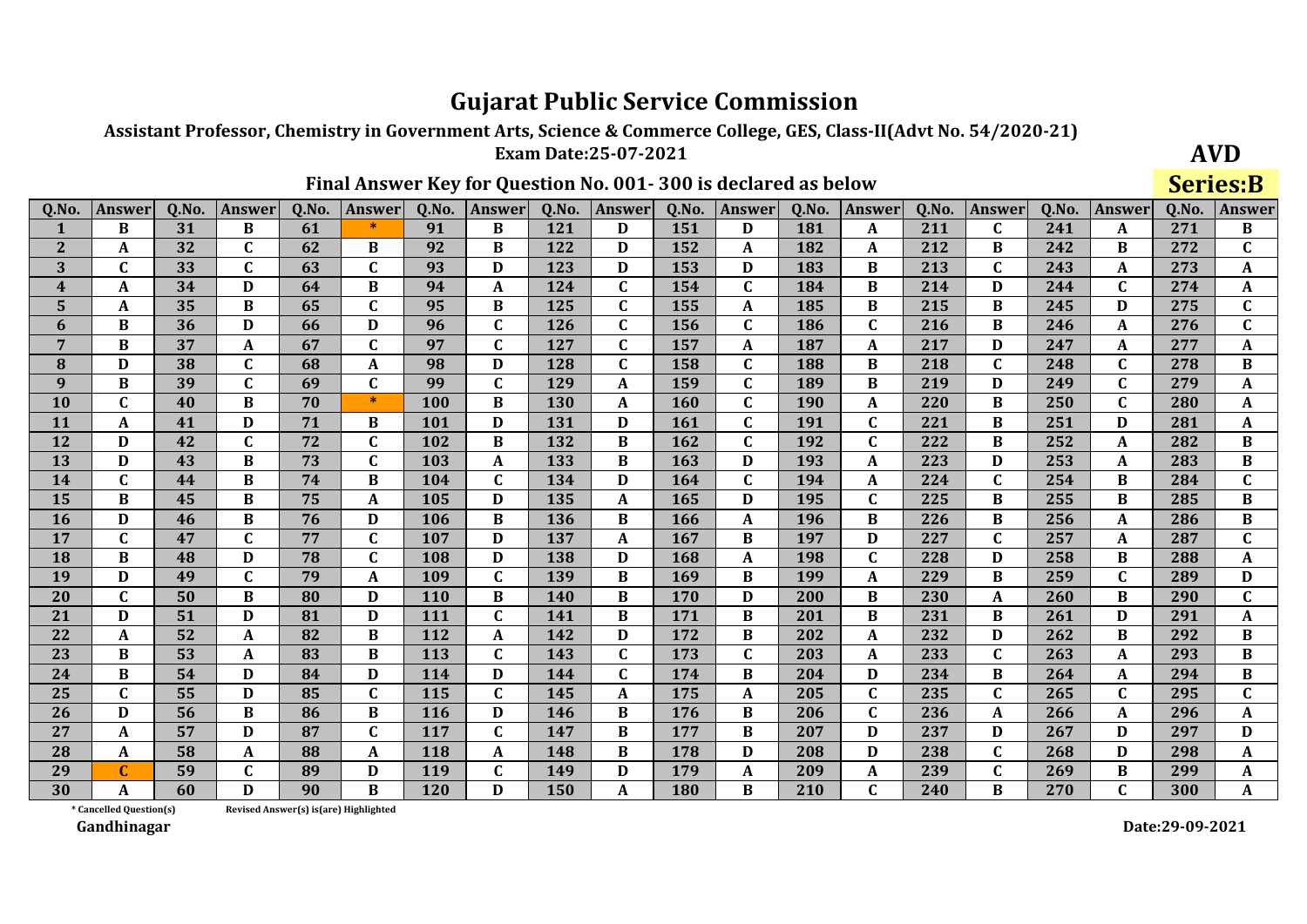Assistant Professor, Chemistry in Government Arts, Science & Commerce College, GES, Class-II(Advt No. 54/2020-21)

**Exam Date:25-07-2021** 

## Final Answer Key for Question No. 001-300 is declared as below

**AVD Series:B** 

| Q.No.                   | Answer       | Q.No. | Answer       | Q.No. | <b>Answer</b> | Q.No.      | Answer           | Q.No. | <b>Answer</b> | Q.No. | Answer       | Q.No.      | <b>Answer</b> | Q.No. | <b>Answer</b> | Q.No. | <b>Answer</b> | Q.No. | Answer       |
|-------------------------|--------------|-------|--------------|-------|---------------|------------|------------------|-------|---------------|-------|--------------|------------|---------------|-------|---------------|-------|---------------|-------|--------------|
| $\mathbf{1}$            | B            | 31    | B            | 61    |               | 91         | B                | 121   | D             | 151   | D            | 181        | A             | 211   | $\mathbf C$   | 241   | A             | 271   | $\bf{B}$     |
| $\mathbf{2}$            | A            | 32    | $\mathbf C$  | 62    | B             | 92         | B                | 122   | D             | 152   | A            | 182        | A             | 212   | B             | 242   | B             | 272   | $\mathbf{C}$ |
| 3                       | C            | 33    | $\mathbf C$  | 63    | $\mathbf{C}$  | 93         | D                | 123   | D             | 153   | D            | 183        | B             | 213   | $\mathbf C$   | 243   | A             | 273   | A            |
| $\overline{\mathbf{4}}$ | A            | 34    | D            | 64    | $\bf{B}$      | 94         | $\boldsymbol{A}$ | 124   | $\mathbf{C}$  | 154   | $\mathbf C$  | 184        | B             | 214   | D             | 244   | $\mathbf C$   | 274   | A            |
| 5                       | A            | 35    | B            | 65    | C             | 95         | $\bf{B}$         | 125   | $\mathbf C$   | 155   | A            | 185        | B             | 215   | B             | 245   | D             | 275   | $\mathbf{C}$ |
| 6                       | B            | 36    | D            | 66    | D             | 96         | $\mathbf{C}$     | 126   | $\mathbf C$   | 156   | $\mathbf C$  | 186        | $\mathbf{C}$  | 216   | B             | 246   | A             | 276   | $\mathbf{C}$ |
| $7\phantom{1}$          | <sub>R</sub> | 37    | A            | 67    | $\mathbf C$   | 97         | $\mathbf C$      | 127   | $\mathbf{C}$  | 157   | A            | 187        | A             | 217   | $\mathbf{D}$  | 247   | A             | 277   | A            |
| 8                       | D            | 38    | C            | 68    | A             | 98         | $\mathbf D$      | 128   | $\mathbf{C}$  | 158   | C            | 188        | B             | 218   | $\mathbf{C}$  | 248   | $\mathbf C$   | 278   | $\, {\bf B}$ |
| 9                       | B            | 39    | $\mathbf{C}$ | 69    | $\mathbf{C}$  | 99         | $\mathbf{C}$     | 129   | A             | 159   | $\mathbf C$  | 189        | B             | 219   | $\mathbf{D}$  | 249   | $\mathbf C$   | 279   | A            |
| 10                      | C            | 40    | B            | 70    | $\ast$        | 100        | $\bf{B}$         | 130   | A             | 160   | C            | <b>190</b> | A             | 220   | B             | 250   | $\mathbf C$   | 280   | A            |
| 11                      | A            | 41    | D            | 71    | B             | 101        | D                | 131   | D             | 161   | $\mathbf C$  | 191        | $\mathbf C$   | 221   | B             | 251   | D             | 281   | A            |
| 12                      | D            | 42    | $\mathbf C$  | 72    | C             | 102        | $\bf{B}$         | 132   | B             | 162   | $\mathbf C$  | 192        | $\mathbf C$   | 222   | $\bf{B}$      | 252   | A             | 282   | $\bf{B}$     |
| 13                      | D            | 43    | B            | 73    | $\mathbf C$   | 103        | A                | 133   | B             | 163   | D            | 193        | $\mathbf{A}$  | 223   | D             | 253   | A             | 283   | $\, {\bf B}$ |
| 14                      | $\mathbf{C}$ | 44    | $\bf{B}$     | 74    | $\bf{B}$      | 104        | $\mathbf C$      | 134   | D             | 164   | $\mathbf C$  | 194        | A             | 224   | $\mathbf C$   | 254   | B             | 284   | $\mathbf C$  |
| 15                      | B            | 45    | $\bf{B}$     | 75    | A             | 105        | D                | 135   | A             | 165   | D            | 195        | $\mathbf{C}$  | 225   | B             | 255   | B             | 285   | $\bf{B}$     |
| 16                      | D            | 46    | $\bf{B}$     | 76    | D             | 106        | $\bf{B}$         | 136   | B             | 166   | A            | <b>196</b> | B             | 226   | $\bf{B}$      | 256   | A             | 286   | $\bf{B}$     |
| 17                      | $\mathbf{C}$ | 47    | $\mathbf C$  | 77    | C             | 107        | D                | 137   | A             | 167   | $\bf{B}$     | 197        | D             | 227   | $\mathbf C$   | 257   | A             | 287   | $\mathbf{C}$ |
| 18                      | $\bf{B}$     | 48    | D            | 78    | $\mathbf{C}$  | 108        | D                | 138   | D             | 168   | A            | 198        | $\mathbf C$   | 228   | D             | 258   | B             | 288   | A            |
| 19                      | D            | 49    | $\mathbf C$  | 79    | A             | 109        | $\mathbf C$      | 139   | B             | 169   | B            | 199        | A             | 229   | B             | 259   | $\mathbf C$   | 289   | D            |
| 20                      | C            | 50    | B            | 80    | D             | <b>110</b> | B                | 140   | B             | 170   | D            | 200        | B             | 230   | A             | 260   | B             | 290   | C            |
| 21                      | D            | 51    | D            | 81    | D             | 111        | $\mathbf C$      | 141   | B             | 171   | $\bf{B}$     | 201        | <sub>R</sub>  | 231   | B             | 261   | D             | 291   | $\mathbf{A}$ |
| 22                      | A            | 52    | A            | 82    | B             | 112        | A                | 142   | D             | 172   | B            | 202        | A             | 232   | D             | 262   | B             | 292   | $\bf{B}$     |
| 23                      | B            | 53    | A            | 83    | $\bf{B}$      | 113        | $\mathbf{C}$     | 143   | $\mathbf C$   | 173   | $\mathbf C$  | 203        | A             | 233   | $\mathbf C$   | 263   | A             | 293   | $\bf{B}$     |
| 24                      | B            | 54    | D            | 84    | D             | 114        | D                | 144   | $\mathbf{C}$  | 174   | B            | 204        | D             | 234   | $\bf{B}$      | 264   | A             | 294   | $\bf{B}$     |
| 25                      | $\mathbf{C}$ | 55    | D            | 85    | $\mathbf{C}$  | 115        | $\mathbf C$      | 145   | A             | 175   | A            | 205        | $\mathbf{C}$  | 235   | $\mathbf C$   | 265   | $\mathbf C$   | 295   | $\mathbf{C}$ |
| 26                      | D            | 56    | $\bf{B}$     | 86    | B             | 116        | D                | 146   | B             | 176   | B            | 206        | $\mathbf C$   | 236   | A             | 266   | A             | 296   | A            |
| 27                      | A            | 57    | D            | 87    | C             | 117        | $\mathbf{C}$     | 147   | B             | 177   | B            | 207        | D             | 237   | D             | 267   | D             | 297   | D            |
| 28                      | A            | 58    | A            | 88    | A             | 118        | A                | 148   | B             | 178   | D            | 208        | D             | 238   | $\mathbf{C}$  | 268   | D             | 298   | A            |
| 29                      |              | 59    | $\mathbf C$  | 89    | D             | 119        | $\mathbf C$      | 149   | D             | 179   | A            | 209        | A             | 239   | $\mathbf C$   | 269   | B             | 299   | A            |
| 30                      | A            | 60    | D            | 90    | <sub>R</sub>  | 120        | D                | 150   | A             | 180   | <sub>R</sub> | 210        | $\mathbf C$   | 240   | $\bf{B}$      | 270   | $\mathbf{C}$  | 300   | A            |

Revised Answer(s) is(are) Highlighted

\* Cancelled Question(s) Gandhinagar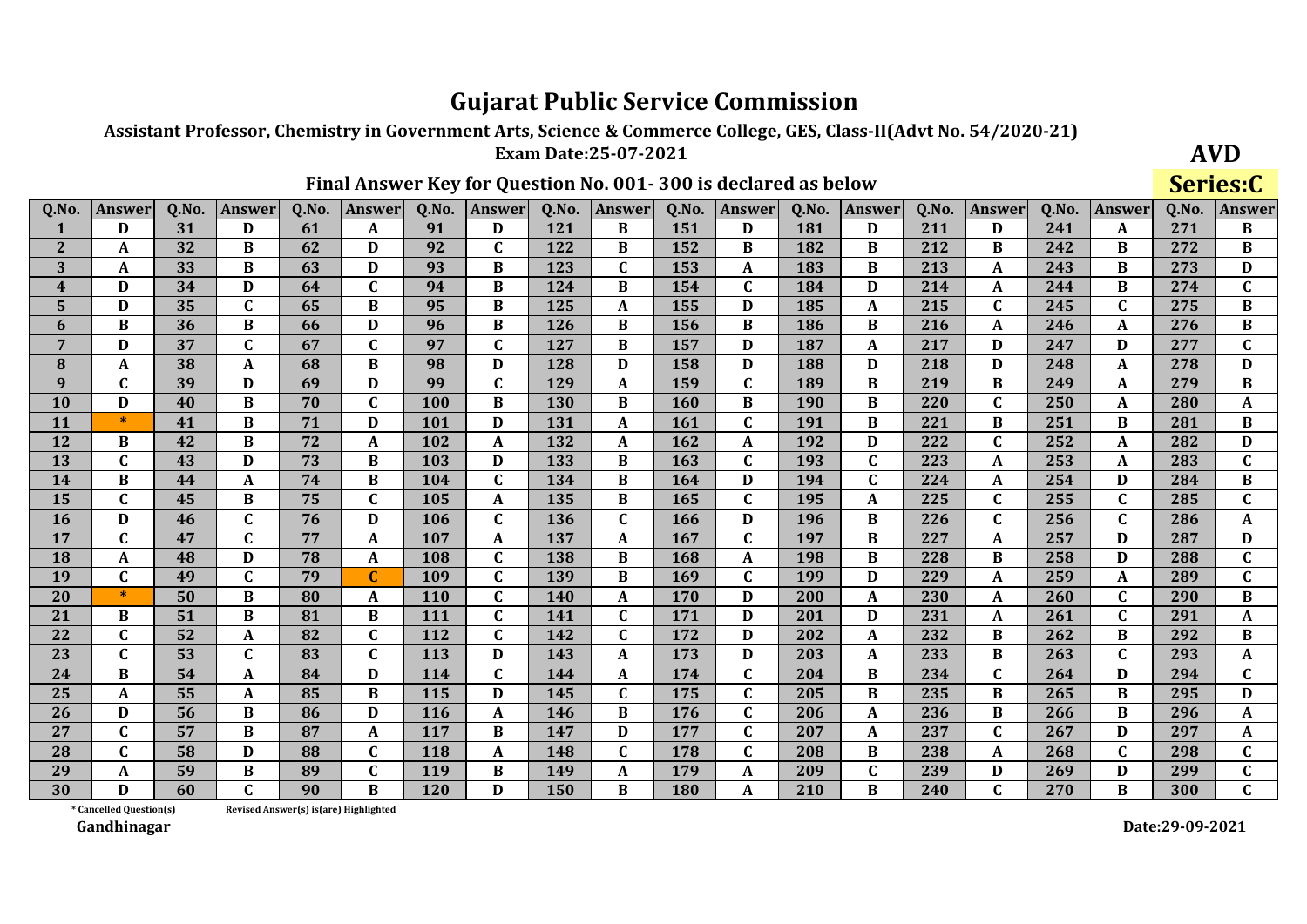Assistant Professor, Chemistry in Government Arts, Science & Commerce College, GES, Class-II(Advt No. 54/2020-21)

**Exam Date:25-07-2021** 

## Final Answer Key for Question No. 001-300 is declared as below

**AVD** Series:C

| Q.No.            | <b>Answer</b> | Q.No. | <b>Answer</b> | Q.No. | <b>Answer</b> | Q.No. | <b>Answer</b> | Q.No.      | Answer       | Q.No.      | <b>Answer</b> | Q.No. | <b>Answer</b> | Q.No. | <b>Answer</b> | Q.No. | <b>Answer</b> | Q.No. | Answer       |
|------------------|---------------|-------|---------------|-------|---------------|-------|---------------|------------|--------------|------------|---------------|-------|---------------|-------|---------------|-------|---------------|-------|--------------|
| 1                | D             | 31    | D             | 61    | A             | 91    | D             | 121        | B            | 151        | D             | 181   | D             | 211   | D             | 241   | A             | 271   | $\bf{B}$     |
| $\mathbf{2}$     | A             | 32    | B             | 62    | D             | 92    | $\mathbf C$   | 122        | B            | 152        | B             | 182   | B             | 212   | B             | 242   | B             | 272   | $\bf{B}$     |
| 3                | A             | 33    | B             | 63    | D             | 93    | B             | 123        | C            | 153        | A             | 183   | B             | 213   | A             | 243   | B             | 273   | D            |
| $\boldsymbol{4}$ | $\bf{D}$      | 34    | D             | 64    | $\mathbf C$   | 94    | B             | 124        | B            | 154        | C             | 184   | D             | 214   | $\mathbf{A}$  | 244   | <sub>R</sub>  | 274   | $\mathbf C$  |
| 5                | D             | 35    | $\mathbf C$   | 65    | B             | 95    | B             | 125        | A            | 155        | D             | 185   | A             | 215   | $\mathbf C$   | 245   | C             | 275   | $\bf{B}$     |
| 6                | B             | 36    | B             | 66    | D             | 96    | B             | <b>126</b> | B            | 156        | B             | 186   | B             | 216   | A             | 246   | A             | 276   | $\bf{B}$     |
| 7                | D             | 37    | $\mathbf C$   | 67    | $\mathbf C$   | 97    | $\mathbf C$   | 127        | B            | 157        | D             | 187   | A             | 217   | D             | 247   | D             | 277   | $\mathbf{C}$ |
| 8                | A             | 38    | A             | 68    | B             | 98    | D             | 128        | D            | 158        | D             | 188   | D             | 218   | D             | 248   | A             | 278   | D            |
| 9                | C             | 39    | D             | 69    | D             | 99    | $\mathbf C$   | 129        | A            | 159        | C             | 189   | B             | 219   | B             | 249   | A             | 279   | B            |
| 10               | D             | 40    | B             | 70    | $\mathbf{C}$  | 100   | B             | 130        | B            | <b>160</b> | B             | 190   | B             | 220   | $\mathbf C$   | 250   | A             | 280   | A            |
| 11               | $\ast$        | 41    | B             | 71    | D             | 101   | D             | 131        | A            | 161        | $\mathbf C$   | 191   | B             | 221   | $\bf{B}$      | 251   | B             | 281   | $\bf{B}$     |
| 12               | <sub>R</sub>  | 42    | B             | 72    | A             | 102   | $\mathbf{A}$  | 132        | A            | 162        | A             | 192   | D             | 222   | $\mathbf{C}$  | 252   | A             | 282   | D            |
| 13               | $\mathbf{C}$  | 43    | $\mathbf{D}$  | 73    | B             | 103   | D             | 133        | $\bf{B}$     | 163        | $\mathbf C$   | 193   | $\mathbf{C}$  | 223   | A             | 253   | A             | 283   | $\mathbf{C}$ |
| 14               | B             | 44    | A             | 74    | B             | 104   | $\mathbf C$   | 134        | B            | 164        | D             | 194   | $\mathbf C$   | 224   | A             | 254   | D             | 284   | $\bf{B}$     |
| 15               | $\mathbf{C}$  | 45    | B             | 75    | $\mathbf{C}$  | 105   | A             | 135        | B            | 165        | $\mathbf C$   | 195   | A             | 225   | $\mathbf C$   | 255   | $\mathbf{C}$  | 285   | $\mathbf C$  |
| 16               | D             | 46    | $\mathbf C$   | 76    | D             | 106   | $\mathbf{C}$  | 136        | $\mathbf{C}$ | 166        | D             | 196   | B             | 226   | $\mathbf{C}$  | 256   | $\mathbf{C}$  | 286   | A            |
| 17               | C             | 47    | C             | 77    | A             | 107   | $\mathbf{A}$  | 137        | A            | 167        | C             | 197   | B             | 227   | $\mathbf{A}$  | 257   | D             | 287   | D            |
| 18               | A             | 48    | D             | 78    | A             | 108   | $\mathbf{C}$  | 138        | $\bf{B}$     | 168        | A             | 198   | $\bf{B}$      | 228   | B             | 258   | D             | 288   | $\mathbf{C}$ |
| 19               | $\mathbf C$   | 49    | $\mathbf C$   | 79    | $\mathbf C$   | 109   | $\mathbf C$   | 139        | B            | 169        | $\mathbf C$   | 199   | D             | 229   | A             | 259   | A             | 289   | $\mathbf{C}$ |
| 20               | $\ast$        | 50    | B             | 80    | A             | 110   | $\mathbf C$   | 140        | A            | 170        | D             | 200   | $\mathbf A$   | 230   | $\mathbf{A}$  | 260   | $\mathbf{C}$  | 290   | $\, {\bf B}$ |
| 21               | B             | 51    | B             | 81    | B             | 111   | $\mathbf C$   | 141        | C            | 171        | D             | 201   | D             | 231   | A             | 261   | C             | 291   | A            |
| 22               | C             | 52    | A             | 82    | $\mathbf C$   | 112   | $\mathbf C$   | 142        | C            | 172        | D             | 202   | A             | 232   | B             | 262   | B             | 292   | B            |
| 23               | $\mathbf{C}$  | 53    | $\mathbf C$   | 83    | $\mathbf{C}$  | 113   | D             | 143        | A            | 173        | D             | 203   | A             | 233   | B             | 263   | $\mathbf{C}$  | 293   | A            |
| 24               | B             | 54    | A             | 84    | D             | 114   | C             | 144        | A            | 174        | C             | 204   | B             | 234   | $\mathbf C$   | 264   | D             | 294   | $\mathbf{C}$ |
| 25               | A             | 55    | A             | 85    | $\bf{B}$      | 115   | D             | 145        | $\mathbf C$  | 175        | $\mathbf C$   | 205   | <sub>R</sub>  | 235   | B             | 265   | <sub>R</sub>  | 295   | D            |
| 26               | D             | 56    | B             | 86    | D             | 116   | $\mathbf{A}$  | 146        | B            | 176        | $\mathbf{C}$  | 206   | A             | 236   | $\, {\bf B}$  | 266   | B             | 296   | A            |
| 27               | C             | 57    | B             | 87    | $\mathbf{A}$  | 117   | B             | 147        | D            | 177        | C             | 207   | A             | 237   | $\mathbf C$   | 267   | D             | 297   | A            |
| 28               | $\mathbf{C}$  | 58    | D             | 88    | $\mathbf C$   | 118   | A             | 148        | $\mathbf C$  | 178        | $\mathbf C$   | 208   | B             | 238   | $\mathbf{A}$  | 268   | $\mathbf{C}$  | 298   | $\mathbf{C}$ |
| 29               | A             | 59    | B             | 89    | C             | 119   | B             | 149        | A            | 179        | A             | 209   | C             | 239   | D             | 269   | D             | 299   | $\mathbf{C}$ |
| 30               | D             | 60    | C.            | 90    | R             | 120   | D             | 150        | B            | 180        | A             | 210   | B             | 240   | $\mathbf C$   | 270   | B             | 300   | $\mathbf{C}$ |

\* Cancelled Question(s) Revised Answer(s) is(are) Highlighted

Gandhinagar